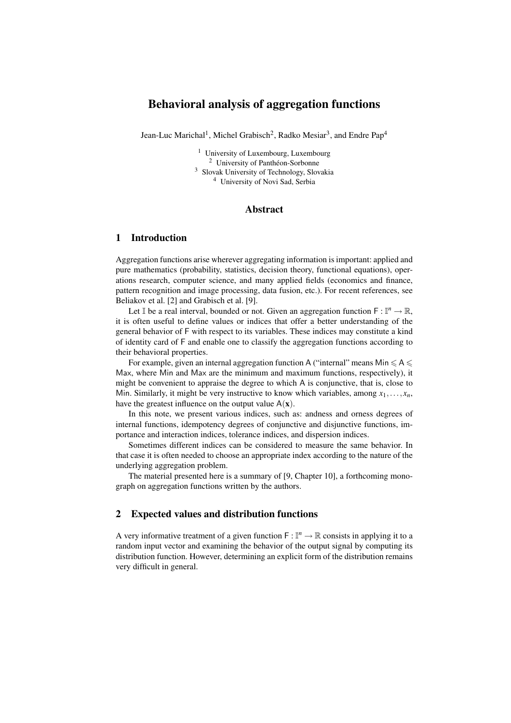# Behavioral analysis of aggregation functions

Jean-Luc Marichal<sup>1</sup>, Michel Grabisch<sup>2</sup>, Radko Mesiar<sup>3</sup>, and Endre Pap<sup>4</sup>

 University of Luxembourg, Luxembourg <sup>2</sup> University of Panthéon-Sorbonne Slovak University of Technology, Slovakia University of Novi Sad, Serbia

#### Abstract

# 1 Introduction

Aggregation functions arise wherever aggregating information is important: applied and pure mathematics (probability, statistics, decision theory, functional equations), operations research, computer science, and many applied fields (economics and finance, pattern recognition and image processing, data fusion, etc.). For recent references, see Beliakov et al. [2] and Grabisch et al. [9].

Let  $\mathbb{I}$  be a real interval, bounded or not. Given an aggregation function  $\mathsf{F} : \mathbb{I}^n \to \mathbb{R}$ , it is often useful to define values or indices that offer a better understanding of the general behavior of F with respect to its variables. These indices may constitute a kind of identity card of F and enable one to classify the aggregation functions according to their behavioral properties.

For example, given an internal aggregation function A ("internal" means Min  $\leq \mathsf{A} \leq$ Max, where Min and Max are the minimum and maximum functions, respectively), it might be convenient to appraise the degree to which A is conjunctive, that is, close to Min. Similarly, it might be very instructive to know which variables, among  $x_1, \ldots, x_n$ , have the greatest influence on the output value  $A(x)$ .

In this note, we present various indices, such as: andness and orness degrees of internal functions, idempotency degrees of conjunctive and disjunctive functions, importance and interaction indices, tolerance indices, and dispersion indices.

Sometimes different indices can be considered to measure the same behavior. In that case it is often needed to choose an appropriate index according to the nature of the underlying aggregation problem.

The material presented here is a summary of [9, Chapter 10], a forthcoming monograph on aggregation functions written by the authors.

### 2 Expected values and distribution functions

A very informative treatment of a given function  $F: \mathbb{I}^n \to \mathbb{R}$  consists in applying it to a random input vector and examining the behavior of the output signal by computing its distribution function. However, determining an explicit form of the distribution remains very difficult in general.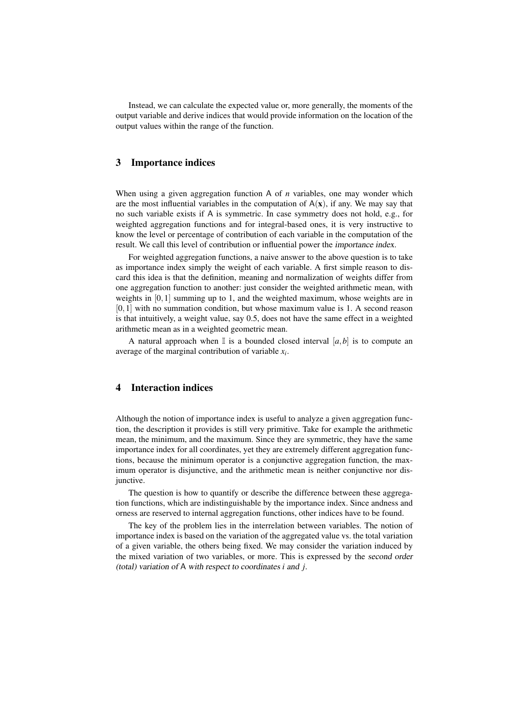Instead, we can calculate the expected value or, more generally, the moments of the output variable and derive indices that would provide information on the location of the output values within the range of the function.

# 3 Importance indices

When using a given aggregation function A of *n* variables, one may wonder which are the most influential variables in the computation of  $A(x)$ , if any. We may say that no such variable exists if A is symmetric. In case symmetry does not hold, e.g., for weighted aggregation functions and for integral-based ones, it is very instructive to know the level or percentage of contribution of each variable in the computation of the result. We call this level of contribution or influential power the importance index.

For weighted aggregation functions, a naive answer to the above question is to take as importance index simply the weight of each variable. A first simple reason to discard this idea is that the definition, meaning and normalization of weights differ from one aggregation function to another: just consider the weighted arithmetic mean, with weights in [0,1] summing up to 1, and the weighted maximum, whose weights are in [0,1] with no summation condition, but whose maximum value is 1. A second reason is that intuitively, a weight value, say 0.5, does not have the same effect in a weighted arithmetic mean as in a weighted geometric mean.

A natural approach when  $\mathbb I$  is a bounded closed interval  $[a,b]$  is to compute an average of the marginal contribution of variable *x<sup>i</sup>* .

### 4 Interaction indices

Although the notion of importance index is useful to analyze a given aggregation function, the description it provides is still very primitive. Take for example the arithmetic mean, the minimum, and the maximum. Since they are symmetric, they have the same importance index for all coordinates, yet they are extremely different aggregation functions, because the minimum operator is a conjunctive aggregation function, the maximum operator is disjunctive, and the arithmetic mean is neither conjunctive nor disjunctive.

The question is how to quantify or describe the difference between these aggregation functions, which are indistinguishable by the importance index. Since andness and orness are reserved to internal aggregation functions, other indices have to be found.

The key of the problem lies in the interrelation between variables. The notion of importance index is based on the variation of the aggregated value vs. the total variation of a given variable, the others being fixed. We may consider the variation induced by the mixed variation of two variables, or more. This is expressed by the second order (total) variation of A with respect to coordinates *i* and *j*.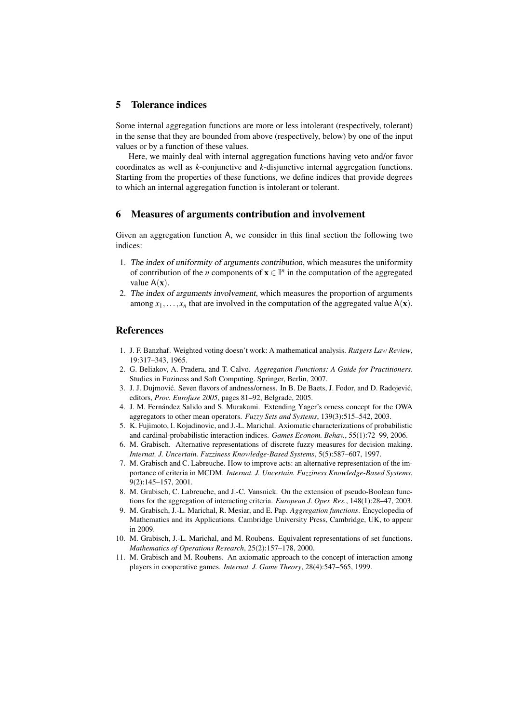# 5 Tolerance indices

Some internal aggregation functions are more or less intolerant (respectively, tolerant) in the sense that they are bounded from above (respectively, below) by one of the input values or by a function of these values.

Here, we mainly deal with internal aggregation functions having veto and/or favor coordinates as well as *k*-conjunctive and *k*-disjunctive internal aggregation functions. Starting from the properties of these functions, we define indices that provide degrees to which an internal aggregation function is intolerant or tolerant.

#### 6 Measures of arguments contribution and involvement

Given an aggregation function A, we consider in this final section the following two indices:

- 1. The index of uniformity of arguments contribution, which measures the uniformity of contribution of the *n* components of  $\mathbf{x} \in \mathbb{I}^n$  in the computation of the aggregated value  $A(x)$ .
- 2. The index of arguments involvement, which measures the proportion of arguments among  $x_1, \ldots, x_n$  that are involved in the computation of the aggregated value  $A(\mathbf{x})$ .

#### References

- 1. J. F. Banzhaf. Weighted voting doesn't work: A mathematical analysis. *Rutgers Law Review*, 19:317–343, 1965.
- 2. G. Beliakov, A. Pradera, and T. Calvo. *Aggregation Functions: A Guide for Practitioners*. Studies in Fuziness and Soft Computing. Springer, Berlin, 2007.
- 3. J. J. Dujmović. Seven flavors of andness/orness. In B. De Baets, J. Fodor, and D. Radojević, editors, *Proc. Eurofuse 2005*, pages 81–92, Belgrade, 2005.
- 4. J. M. Fernández Salido and S. Murakami. Extending Yager's orness concept for the OWA aggregators to other mean operators. *Fuzzy Sets and Systems*, 139(3):515–542, 2003.
- 5. K. Fujimoto, I. Kojadinovic, and J.-L. Marichal. Axiomatic characterizations of probabilistic and cardinal-probabilistic interaction indices. *Games Econom. Behav.*, 55(1):72–99, 2006.
- 6. M. Grabisch. Alternative representations of discrete fuzzy measures for decision making. *Internat. J. Uncertain. Fuzziness Knowledge-Based Systems*, 5(5):587–607, 1997.
- 7. M. Grabisch and C. Labreuche. How to improve acts: an alternative representation of the importance of criteria in MCDM. *Internat. J. Uncertain. Fuzziness Knowledge-Based Systems*, 9(2):145–157, 2001.
- 8. M. Grabisch, C. Labreuche, and J.-C. Vansnick. On the extension of pseudo-Boolean functions for the aggregation of interacting criteria. *European J. Oper. Res.*, 148(1):28–47, 2003.
- 9. M. Grabisch, J.-L. Marichal, R. Mesiar, and E. Pap. *Aggregation functions*. Encyclopedia of Mathematics and its Applications. Cambridge University Press, Cambridge, UK, to appear in 2009.
- 10. M. Grabisch, J.-L. Marichal, and M. Roubens. Equivalent representations of set functions. *Mathematics of Operations Research*, 25(2):157–178, 2000.
- 11. M. Grabisch and M. Roubens. An axiomatic approach to the concept of interaction among players in cooperative games. *Internat. J. Game Theory*, 28(4):547–565, 1999.